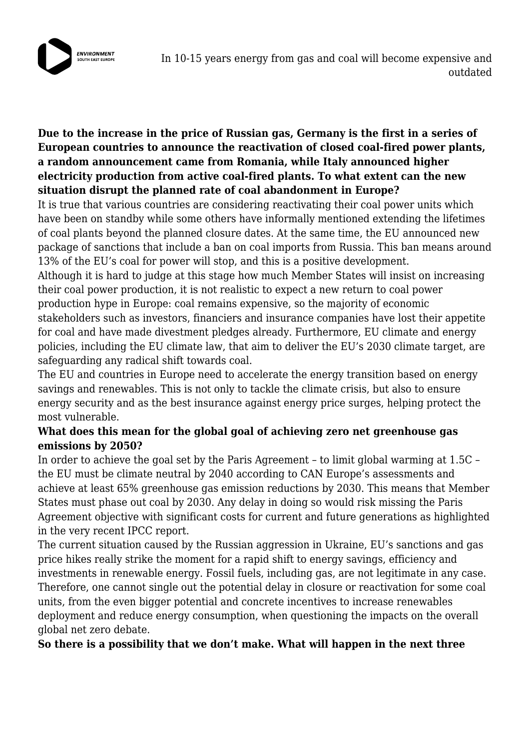

## **Due to the increase in the price of Russian gas, Germany is the first in a series of European countries to announce the reactivation of closed coal-fired power plants, a random announcement came from Romania, while Italy announced higher electricity production from active coal-fired plants. To what extent can the new situation disrupt the planned rate of coal abandonment in Europe?**

It is true that various countries are considering reactivating their coal power units which have been on standby while some others have informally mentioned extending the lifetimes of coal plants beyond the planned closure dates. At the same time, the EU announced new package of sanctions that include a ban on coal imports from Russia. This ban means around 13% of the EU's coal for power will stop, and this is a positive development.

Although it is hard to judge at this stage how much Member States will insist on increasing their coal power production, it is not realistic to expect a new return to coal power production hype in Europe: coal remains expensive, so the majority of economic stakeholders such as investors, financiers and insurance companies have lost their appetite for coal and have made divestment pledges already. Furthermore, EU climate and energy policies, including the EU climate law, that aim to deliver the EU's 2030 climate target, are safeguarding any radical shift towards coal.

The EU and countries in Europe need to accelerate the energy transition based on energy savings and renewables. This is not only to tackle the climate crisis, but also to ensure energy security and as the best insurance against energy price surges, helping protect the most vulnerable.

## **What does this mean for the global goal of achieving zero net greenhouse gas emissions by 2050?**

In order to achieve the goal set by the Paris Agreement – to limit global warming at 1.5C – the EU must be climate neutral by 2040 according to CAN Europe's assessments and achieve at least 65% greenhouse gas emission reductions by 2030. This means that Member States must phase out coal by 2030. Any delay in doing so would risk missing the Paris Agreement objective with significant costs for current and future generations as highlighted in the very recent IPCC report.

The current situation caused by the Russian aggression in Ukraine, EU's sanctions and gas price hikes really strike the moment for a rapid shift to energy savings, efficiency and investments in renewable energy. Fossil fuels, including gas, are not legitimate in any case. Therefore, one cannot single out the potential delay in closure or reactivation for some coal units, from the even bigger potential and concrete incentives to increase renewables deployment and reduce energy consumption, when questioning the impacts on the overall global net zero debate.

**So there is a possibility that we don't make. What will happen in the next three**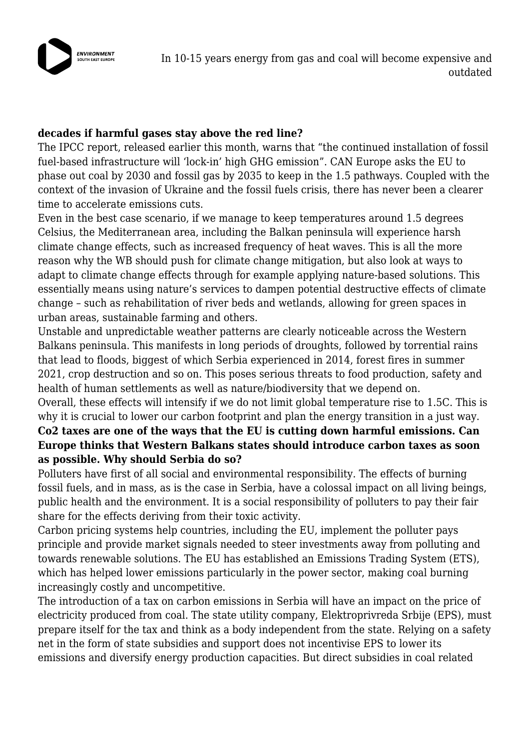

#### **decades if harmful gases stay above the red line?**

The IPCC report, released earlier this month, warns that "the continued installation of fossil fuel-based infrastructure will 'lock-in' high GHG emission". CAN Europe asks the EU to phase out coal by 2030 and fossil gas by 2035 to keep in the 1.5 pathways. Coupled with the context of the invasion of Ukraine and the fossil fuels crisis, there has never been a clearer time to accelerate emissions cuts.

Even in the best case scenario, if we manage to keep temperatures around 1.5 degrees Celsius, the Mediterranean area, including the Balkan peninsula will experience harsh climate change effects, such as increased frequency of heat waves. This is all the more reason why the WB should push for climate change mitigation, but also look at ways to adapt to climate change effects through for example applying nature-based solutions. This essentially means using nature's services to dampen potential destructive effects of climate change – such as rehabilitation of river beds and wetlands, allowing for green spaces in urban areas, sustainable farming and others.

Unstable and unpredictable weather patterns are clearly noticeable across the Western Balkans peninsula. This manifests in long periods of droughts, followed by torrential rains that lead to floods, biggest of which Serbia experienced in 2014, forest fires in summer 2021, crop destruction and so on. This poses serious threats to food production, safety and health of human settlements as well as nature/biodiversity that we depend on.

Overall, these effects will intensify if we do not limit global temperature rise to 1.5C. This is why it is crucial to lower our carbon footprint and plan the energy transition in a just way.

### **Co2 taxes are one of the ways that the EU is cutting down harmful emissions. Can Europe thinks that Western Balkans states should introduce carbon taxes as soon as possible. Why should Serbia do so?**

Polluters have first of all social and environmental responsibility. The effects of burning fossil fuels, and in mass, as is the case in Serbia, have a colossal impact on all living beings, public health and the environment. It is a social responsibility of polluters to pay their fair share for the effects deriving from their toxic activity.

Carbon pricing systems help countries, including the EU, implement the polluter pays principle and provide market signals needed to steer investments away from polluting and towards renewable solutions. The EU has established an Emissions Trading System (ETS), which has helped lower emissions particularly in the power sector, making coal burning increasingly costly and uncompetitive.

The introduction of a tax on carbon emissions in Serbia will have an impact on the price of electricity produced from coal. The state utility company, Elektroprivreda Srbije (EPS), must prepare itself for the tax and think as a body independent from the state. Relying on a safety net in the form of state subsidies and support does not incentivise EPS to lower its emissions and diversify energy production capacities. But direct subsidies in coal related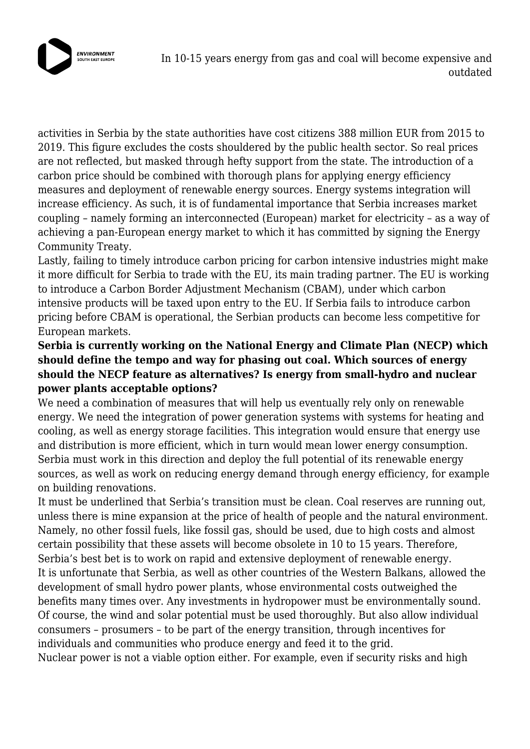

In 10-15 years energy from gas and coal will become expensive and outdated

activities in Serbia by the state authorities have cost citizens 388 million EUR from 2015 to 2019. This figure excludes the costs shouldered by the public health sector. So real prices are not reflected, but masked through hefty support from the state. The introduction of a carbon price should be combined with thorough plans for applying energy efficiency measures and deployment of renewable energy sources. Energy systems integration will increase efficiency. As such, it is of fundamental importance that Serbia increases market coupling – namely forming an interconnected (European) market for electricity – as a way of achieving a pan-European energy market to which it has committed by signing the Energy Community Treaty.

Lastly, failing to timely introduce carbon pricing for carbon intensive industries might make it more difficult for Serbia to trade with the EU, its main trading partner. The EU is working to introduce a Carbon Border Adjustment Mechanism (CBAM), under which carbon intensive products will be taxed upon entry to the EU. If Serbia fails to introduce carbon pricing before CBAM is operational, the Serbian products can become less competitive for European markets.

# **Serbia is currently working on the National Energy and Climate Plan (NECP) which should define the tempo and way for phasing out coal. Which sources of energy should the NECP feature as alternatives? Is energy from small-hydro and nuclear power plants acceptable options?**

We need a combination of measures that will help us eventually rely only on renewable energy. We need the integration of power generation systems with systems for heating and cooling, as well as energy storage facilities. This integration would ensure that energy use and distribution is more efficient, which in turn would mean lower energy consumption. Serbia must work in this direction and deploy the full potential of its renewable energy sources, as well as work on reducing energy demand through energy efficiency, for example on building renovations.

It must be underlined that Serbia's transition must be clean. Coal reserves are running out, unless there is mine expansion at the price of health of people and the natural environment. Namely, no other fossil fuels, like fossil gas, should be used, due to high costs and almost certain possibility that these assets will become obsolete in 10 to 15 years. Therefore, Serbia's best bet is to work on rapid and extensive deployment of renewable energy. It is unfortunate that Serbia, as well as other countries of the Western Balkans, allowed the development of small hydro power plants, whose environmental costs outweighed the benefits many times over. Any investments in hydropower must be environmentally sound. Of course, the wind and solar potential must be used thoroughly. But also allow individual consumers – prosumers – to be part of the energy transition, through incentives for individuals and communities who produce energy and feed it to the grid.

Nuclear power is not a viable option either. For example, even if security risks and high